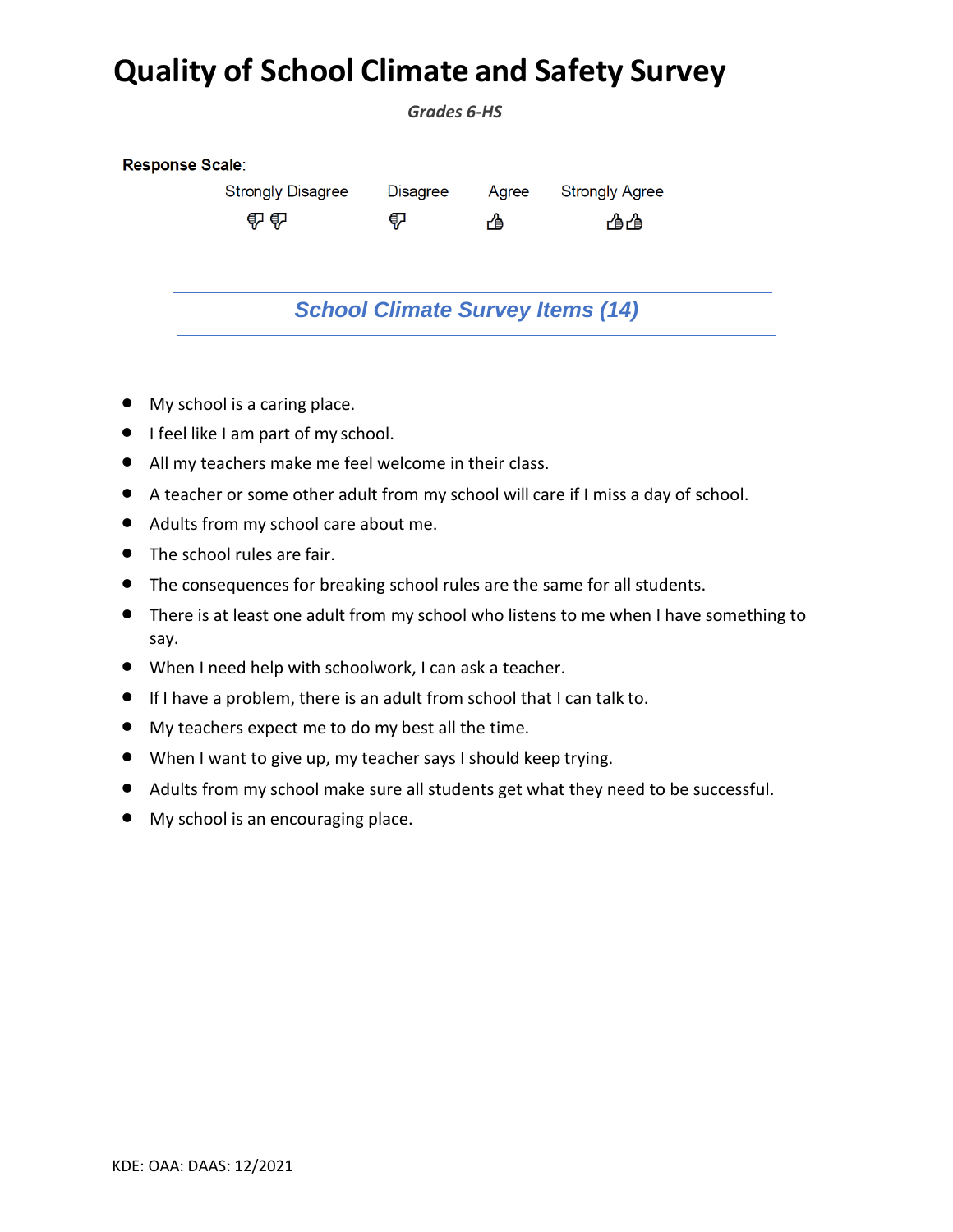## **Quality of School Climate and Safety Survey**

*Grades 6-HS* 

| Response Scale:                         |                 |       |                       |  |  |
|-----------------------------------------|-----------------|-------|-----------------------|--|--|
| <b>Strongly Disagree</b>                | <b>Disagree</b> | Agree | <b>Strongly Agree</b> |  |  |
| 4242                                    | ₹               | ☝     | 凸凸                    |  |  |
| <b>School Climate Survey Items (14)</b> |                 |       |                       |  |  |

- My school is a caring place.
- I feel like I am part of my school.
- All my teachers make me feel welcome in their class.
- A teacher or some other adult from my school will care if I miss a day of school.
- Adults from my school care about me.
- The school rules are fair.
- The consequences for breaking school rules are the same for all students.
- There is at least one adult from my school who listens to me when I have something to say.
- When I need help with schoolwork, I can ask a teacher.
- If I have a problem, there is an adult from school that I can talk to.
- My teachers expect me to do my best all the time.
- When I want to give up, my teacher says I should keep trying.
- Adults from my school make sure all students get what they need to be successful.
- My school is an encouraging place.